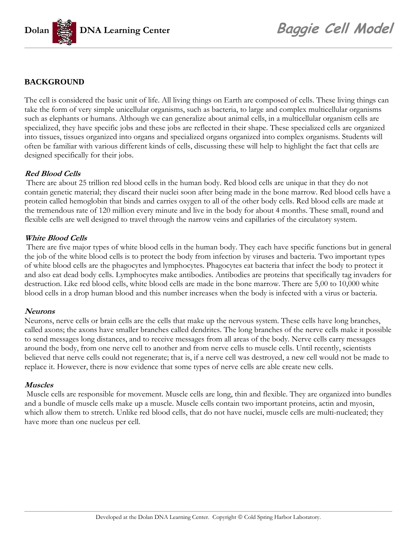

## **BACKGROUND**

The cell is considered the basic unit of life. All living things on Earth are composed of cells. These living things can take the form of very simple unicellular organisms, such as bacteria, to large and complex multicellular organisms such as elephants or humans. Although we can generalize about animal cells, in a multicellular organism cells are specialized, they have specific jobs and these jobs are reflected in their shape. These specialized cells are organized into tissues, tissues organized into organs and specialized organs organized into complex organisms. Students will often be familiar with various different kinds of cells, discussing these will help to highlight the fact that cells are designed specifically for their jobs.

## **Red Blood Cells**

 There are about 25 trillion red blood cells in the human body. Red blood cells are unique in that they do not contain genetic material; they discard their nuclei soon after being made in the bone marrow. Red blood cells have a protein called hemoglobin that binds and carries oxygen to all of the other body cells. Red blood cells are made at the tremendous rate of 120 million every minute and live in the body for about 4 months. These small, round and flexible cells are well designed to travel through the narrow veins and capillaries of the circulatory system.

## **White Blood Cells**

 There are five major types of white blood cells in the human body. They each have specific functions but in general the job of the white blood cells is to protect the body from infection by viruses and bacteria. Two important types of white blood cells are the phagocytes and lymphocytes. Phagocytes eat bacteria that infect the body to protect it and also eat dead body cells. Lymphocytes make antibodies. Antibodies are proteins that specifically tag invaders for destruction. Like red blood cells, white blood cells are made in the bone marrow. There are 5,00 to 10,000 white blood cells in a drop human blood and this number increases when the body is infected with a virus or bacteria.

## **Neurons**

Neurons, nerve cells or brain cells are the cells that make up the nervous system. These cells have long branches, called axons; the axons have smaller branches called dendrites. The long branches of the nerve cells make it possible to send messages long distances, and to receive messages from all areas of the body. Nerve cells carry messages around the body, from one nerve cell to another and from nerve cells to muscle cells. Until recently, scientists believed that nerve cells could not regenerate; that is, if a nerve cell was destroyed, a new cell would not be made to replace it. However, there is now evidence that some types of nerve cells are able create new cells.

## **Muscles**

 Muscle cells are responsible for movement. Muscle cells are long, thin and flexible. They are organized into bundles and a bundle of muscle cells make up a muscle. Muscle cells contain two important proteins, actin and myosin, which allow them to stretch. Unlike red blood cells, that do not have nuclei, muscle cells are multi-nucleated; they have more than one nucleus per cell.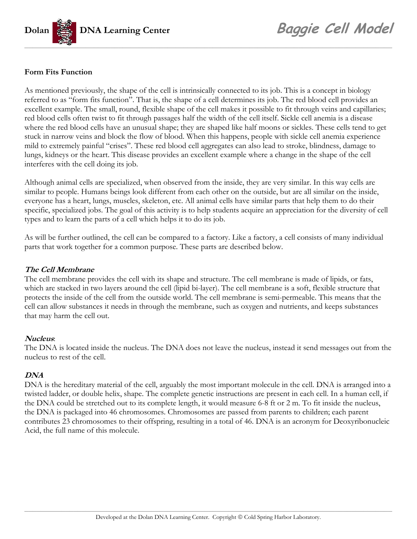

## **Form Fits Function**

As mentioned previously, the shape of the cell is intrinsically connected to its job. This is a concept in biology referred to as "form fits function". That is, the shape of a cell determines its job. The red blood cell provides an excellent example. The small, round, flexible shape of the cell makes it possible to fit through veins and capillaries; red blood cells often twist to fit through passages half the width of the cell itself. Sickle cell anemia is a disease where the red blood cells have an unusual shape; they are shaped like half moons or sickles. These cells tend to get stuck in narrow veins and block the flow of blood. When this happens, people with sickle cell anemia experience mild to extremely painful "crises". These red blood cell aggregates can also lead to stroke, blindness, damage to lungs, kidneys or the heart. This disease provides an excellent example where a change in the shape of the cell interferes with the cell doing its job.

Although animal cells are specialized, when observed from the inside, they are very similar. In this way cells are similar to people. Humans beings look different from each other on the outside, but are all similar on the inside, everyone has a heart, lungs, muscles, skeleton, etc. All animal cells have similar parts that help them to do their specific, specialized jobs. The goal of this activity is to help students acquire an appreciation for the diversity of cell types and to learn the parts of a cell which helps it to do its job.

As will be further outlined, the cell can be compared to a factory. Like a factory, a cell consists of many individual parts that work together for a common purpose. These parts are described below.

## **The Cell Membrane**

The cell membrane provides the cell with its shape and structure. The cell membrane is made of lipids, or fats, which are stacked in two layers around the cell (lipid bi-layer). The cell membrane is a soft, flexible structure that protects the inside of the cell from the outside world. The cell membrane is semi-permeable. This means that the cell can allow substances it needs in through the membrane, such as oxygen and nutrients, and keeps substances that may harm the cell out.

## **Nucleus**:

The DNA is located inside the nucleus. The DNA does not leave the nucleus, instead it send messages out from the nucleus to rest of the cell.

## **DNA**

DNA is the hereditary material of the cell, arguably the most important molecule in the cell. DNA is arranged into a twisted ladder, or double helix, shape. The complete genetic instructions are present in each cell. In a human cell, if the DNA could be stretched out to its complete length, it would measure 6-8 ft or 2 m. To fit inside the nucleus, the DNA is packaged into 46 chromosomes. Chromosomes are passed from parents to children; each parent contributes 23 chromosomes to their offspring, resulting in a total of 46. DNA is an acronym for Deoxyribonucleic Acid, the full name of this molecule.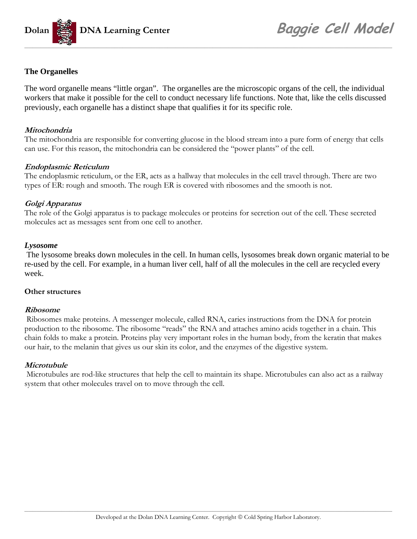

## **The Organelles**

The word organelle means "little organ". The organelles are the microscopic organs of the cell, the individual workers that make it possible for the cell to conduct necessary life functions. Note that, like the cells discussed previously, each organelle has a distinct shape that qualifies it for its specific role.

## **Mitochondria**

The mitochondria are responsible for converting glucose in the blood stream into a pure form of energy that cells can use. For this reason, the mitochondria can be considered the "power plants" of the cell.

## **Endoplasmic Reticulum**

The endoplasmic reticulum, or the ER, acts as a hallway that molecules in the cell travel through. There are two types of ER: rough and smooth. The rough ER is covered with ribosomes and the smooth is not.

## **Golgi Apparatus**

The role of the Golgi apparatus is to package molecules or proteins for secretion out of the cell. These secreted molecules act as messages sent from one cell to another.

## *Lysosome*

 The lysosome breaks down molecules in the cell. In human cells, lysosomes break down organic material to be re-used by the cell. For example, in a human liver cell, half of all the molecules in the cell are recycled every week.

## **Other structures**

## **Ribosome**

 Ribosomes make proteins. A messenger molecule, called RNA, caries instructions from the DNA for protein production to the ribosome. The ribosome "reads" the RNA and attaches amino acids together in a chain. This chain folds to make a protein. Proteins play very important roles in the human body, from the keratin that makes our hair, to the melanin that gives us our skin its color, and the enzymes of the digestive system.

## **Microtubule**

 Microtubules are rod-like structures that help the cell to maintain its shape. Microtubules can also act as a railway system that other molecules travel on to move through the cell.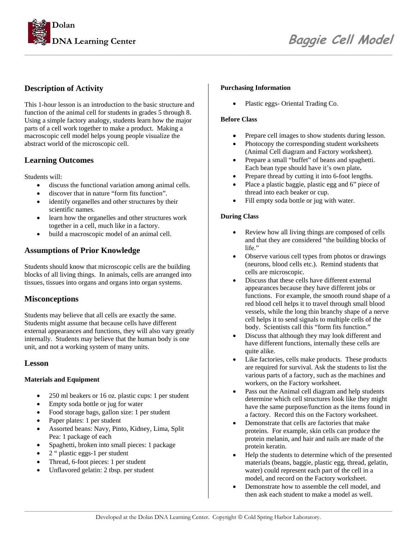

## **Description of Activity**

This 1-hour lesson is an introduction to the basic structure and function of the animal cell for students in grades 5 through 8. Using a simple factory analogy, students learn how the major parts of a cell work together to make a product. Making a macroscopic cell model helps young people visualize the abstract world of the microscopic cell.

## **Learning Outcomes**

Students will:

- discuss the functional variation among animal cells.
- discover that in nature "form fits function".
- identify organelles and other structures by their scientific names.
- learn how the organelles and other structures work together in a cell, much like in a factory.
- build a macroscopic model of an animal cell.

## **Assumptions of Prior Knowledge**

Students should know that microscopic cells are the building blocks of all living things. In animals, cells are arranged into tissues, tissues into organs and organs into organ systems.

## **Misconceptions**

Students may believe that all cells are exactly the same. Students might assume that because cells have different external appearances and functions, they will also vary greatly internally. Students may believe that the human body is one unit, and not a working system of many units.

## **Lesson**

#### **Materials and Equipment**

- 250 ml beakers or 16 oz. plastic cups: 1 per student
- Empty soda bottle or jug for water
- Food storage bags, gallon size: 1 per student
- Paper plates: 1 per student
- Assorted beans: Navy, Pinto, Kidney, Lima, Split Pea: 1 package of each
- Spaghetti, broken into small pieces: 1 package
- 2 " plastic eggs-1 per student
- Thread, 6-foot pieces: 1 per student
- Unflavored gelatin: 2 tbsp. per student

#### **Purchasing Information**

• Plastic eggs- Oriental Trading Co.

#### **Before Class**

- Prepare cell images to show students during lesson.
- Photocopy the corresponding student worksheets (Animal Cell diagram and Factory worksheet).
- Prepare a small "buffet" of beans and spaghetti. Each bean type should have it's own plate**.**
- Prepare thread by cutting it into 6-foot lengths.
- Place a plastic baggie, plastic egg and 6" piece of thread into each beaker or cup.
- Fill empty soda bottle or jug with water.

#### **During Class**

- Review how all living things are composed of cells and that they are considered "the building blocks of life."
- Observe various cell types from photos or drawings (neurons, blood cells etc.). Remind students that cells are microscopic.
- Discuss that these cells have different external appearances because they have different jobs or functions. For example, the smooth round shape of a red blood cell helps it to travel through small blood vessels, while the long thin branchy shape of a nerve cell helps it to send signals to multiple cells of the body. Scientists call this "form fits function."
- Discuss that although they may look different and have different functions, internally these cells are quite alike.
- Like factories, cells make products. These products are required for survival. Ask the students to list the various parts of a factory, such as the machines and workers, on the Factory worksheet.
- Pass out the Animal cell diagram and help students determine which cell structures look like they might have the same purpose/function as the items found in a factory. Record this on the Factory worksheet.
- Demonstrate that cells are factories that make proteins. For example, skin cells can produce the protein melanin, and hair and nails are made of the protein keratin.
- Help the students to determine which of the presented materials (beans, baggie, plastic egg, thread, gelatin, water) could represent each part of the cell in a model, and record on the Factory worksheet.
- Demonstrate how to assemble the cell model, and then ask each student to make a model as well.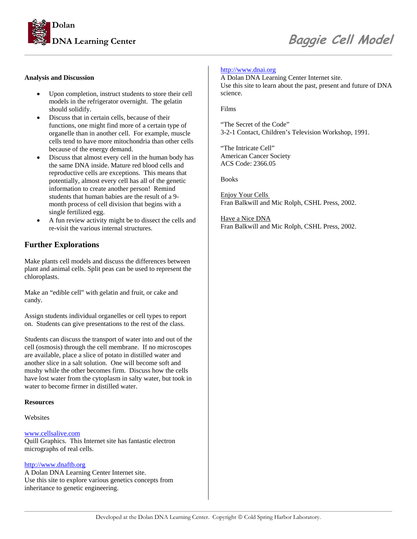

#### **Analysis and Discussion**

- Upon completion, instruct students to store their cell models in the refrigerator overnight. The gelatin should solidify.
- Discuss that in certain cells, because of their functions, one might find more of a certain type of organelle than in another cell. For example, muscle cells tend to have more mitochondria than other cells because of the energy demand.
- Discuss that almost every cell in the human body has the same DNA inside. Mature red blood cells and reproductive cells are exceptions. This means that potentially, almost every cell has all of the genetic information to create another person! Remind students that human babies are the result of a 9 month process of cell division that begins with a single fertilized egg.
- A fun review activity might be to dissect the cells and re-visit the various internal structures.

## **Further Explorations**

Make plants cell models and discuss the differences between plant and animal cells. Split peas can be used to represent the chloroplasts.

Make an "edible cell" with gelatin and fruit, or cake and candy.

Assign students individual organelles or cell types to report on. Students can give presentations to the rest of the class.

Students can discuss the transport of water into and out of the cell (osmosis) through the cell membrane. If no microscopes are available, place a slice of potato in distilled water and another slice in a salt solution. One will become soft and mushy while the other becomes firm. Discuss how the cells have lost water from the cytoplasm in salty water, but took in water to become firmer in distilled water.

#### **Resources**

**Websites** 

#### [www.cellsalive.com](http://www.cellsalive.com/)

Quill Graphics. This Internet site has fantastic electron micrographs of real cells.

#### [http://www.dnaftb.org](http://www.dnaftb.org/)

A Dolan DNA Learning Center Internet site. Use this site to explore various genetics concepts from inheritance to genetic engineering.

#### [http://www.dnai.org](http://www.dnai.org/)

A Dolan DNA Learning Center Internet site. Use this site to learn about the past, present and future of DNA science.

Films

"The Secret of the Code" 3-2-1 Contact, Children's Television Workshop, 1991.

"The Intricate Cell" American Cancer Society ACS Code: 2366.05

Books

Enjoy Your Cells Fran Balkwill and Mic Rolph, CSHL Press, 2002.

Have a Nice DNA Fran Balkwill and Mic Rolph, CSHL Press, 2002.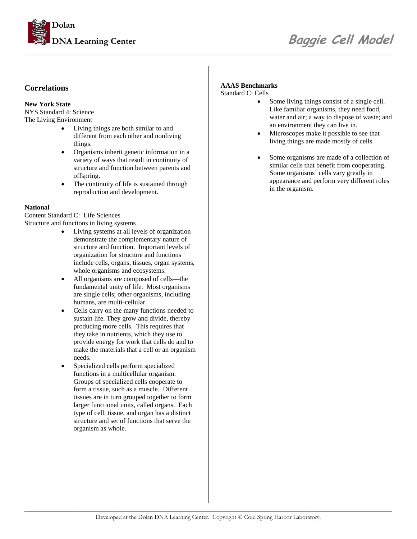

## **DNA Learning Center** *Baggie Cell Model*

## **Correlations**

#### **New York State**

NYS Standard 4: Science The Living Environment

- Living things are both similar to and different from each other and nonliving things.
- Organisms inherit genetic information in a variety of ways that result in continuity of structure and function between parents and offspring.
- The continuity of life is sustained through reproduction and development.

#### **National**

Content Standard C: Life Sciences Structure and functions in living systems

- Living systems at all levels of organization demonstrate the complementary nature of structure and function. Important levels of organization for structure and functions include cells, organs, tissues, organ systems, whole organisms and ecosystems.
- All organisms are composed of cells—the fundamental unity of life. Most organisms are single cells; other organisms, including humans, are multi-cellular.
- Cells carry on the many functions needed to sustain life. They grow and divide, thereby producing more cells. This requires that they take in nutrients, which they use to provide energy for work that cells do and to make the materials that a cell or an organism needs.
- Specialized cells perform specialized functions in a multicellular organism. Groups of specialized cells cooperate to form a tissue, such as a muscle. Different tissues are in turn grouped together to form larger functional units, called organs. Each type of cell, tissue, and organ has a distinct structure and set of functions that serve the organism as whole.

#### **AAAS Benchmarks**

Standard C: Cells

- Some living things consist of a single cell. Like familiar organisms, they need food, water and air; a way to dispose of waste; and an environment they can live in.
- Microscopes make it possible to see that living things are made mostly of cells.
- Some organisms are made of a collection of similar cells that benefit from cooperating. Some organisms' cells vary greatly in appearance and perform very different roles in the organism.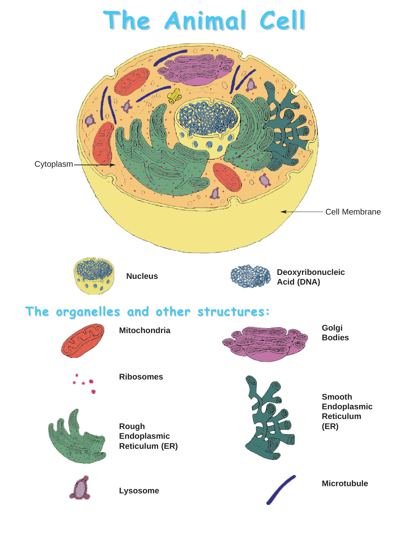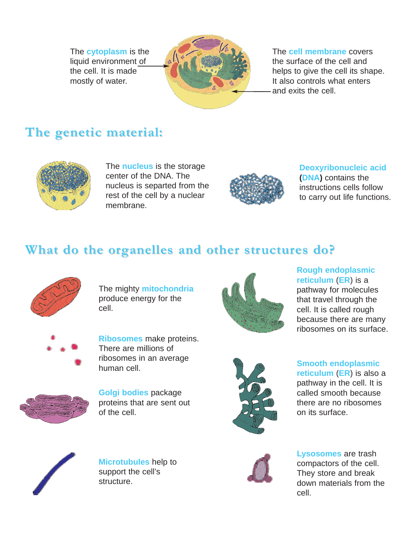The **cytoplasm** is the liquid environment of the cell. It is made mostly of water.



## The **cell membrane** covers the surface of the cell and helps to give the cell its shape.

It also controls what enters and exits the cell.

## **The genetic material:**



The **nucleus** is the storage center of the DNA. The nucleus is separted from the rest of the cell by a nuclear membrane.



**Deoxyribonucleic acid (DNA)** contains the instructions cells follow to carry out life functions.

## **What do the organelles and other structures do?**



The mighty **mitochondria** produce energy for the cell.



**Rough endoplasmic reticulum** (**ER**) is a pathway for molecules that travel through the cell. It is called rough because there are many ribosomes on its surface.



**Ribosomes** make proteins. There are millions of ribosomes in an average human cell.



**Golgi bodies** package proteins that are sent out of the cell.



**Smooth endoplasmic reticulum** (**ER**) is also a pathway in the cell. It is called smooth because there are no ribosomes on its surface.



**Microtubules** help to support the cell's structure.



**Lysosomes** are trash compactors of the cell. They store and break down materials from the cell.